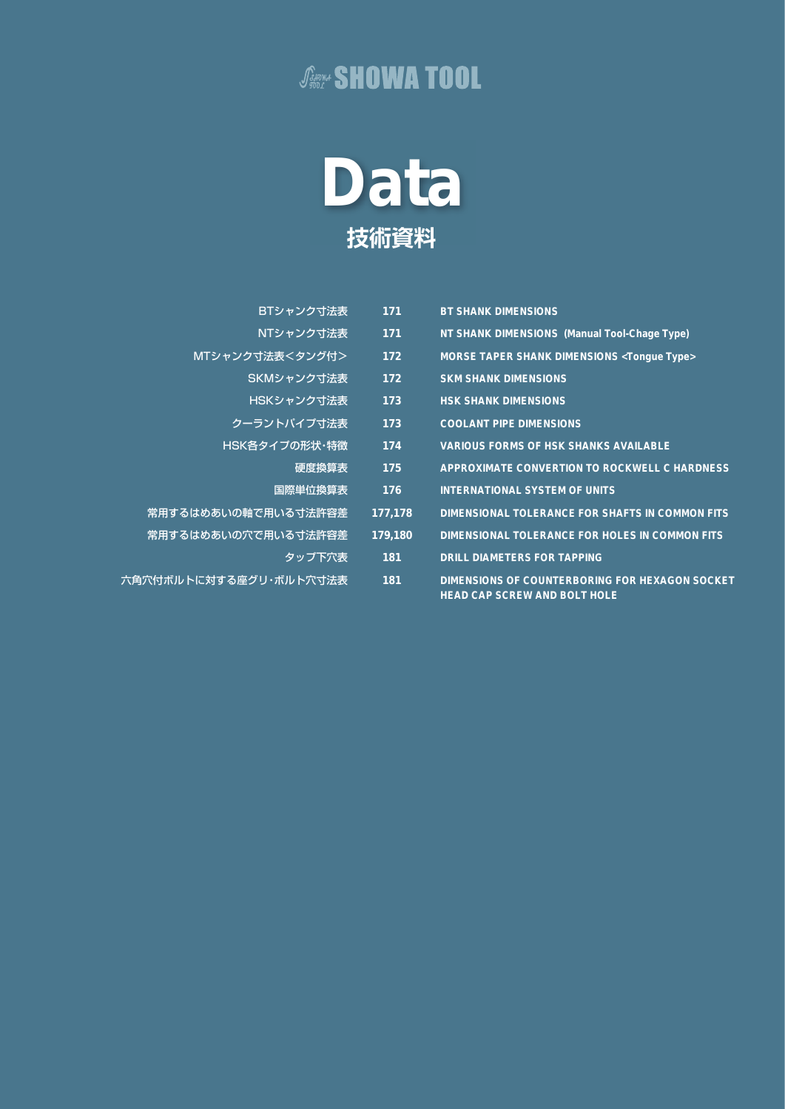### **JANNA SHOWA TOOL**



| BTシャンク寸法表              | 171     | <b>BT SHANK DIMENSIONS</b>                                                            |
|------------------------|---------|---------------------------------------------------------------------------------------|
| NTシャンク寸法表              | 171     | NT SHANK DIMENSIONS (Manual Tool-Chage Type)                                          |
| MTシャンク寸法表<タング付>        | 172     | <b>MORSE TAPER SHANK DIMENSIONS <tongue type=""></tongue></b>                         |
| SKMシャンク寸法表             | 172     | <b>SKM SHANK DIMENSIONS</b>                                                           |
| HSKシャンク寸法表             | 173     | <b>HSK SHANK DIMENSIONS</b>                                                           |
| クーラントパイプ寸法表            | 173     | <b>COOLANT PIPE DIMENSIONS</b>                                                        |
| HSK各タイプの形状・特徴          | 174     | <b>VARIOUS FORMS OF HSK SHANKS AVAILABLE</b>                                          |
| 硬度換算表                  | 175     | <b>APPROXIMATE CONVERTION TO ROCKWELL C HARDNESS</b>                                  |
| 国際単位換算表                | 176     | <b>INTERNATIONAL SYSTEM OF UNITS</b>                                                  |
| 常用するはめあいの軸で用いる寸法許容差    | 177,178 | <b>DIMENSIONAL TOLERANCE FOR SHAFTS IN COMMON FITS</b>                                |
| 常用するはめあいの穴で用いる寸法許容差    | 179,180 | DIMENSIONAL TOLERANCE FOR HOLES IN COMMON FITS                                        |
| タップ下穴表                 | 181     | <b>DRILL DIAMETERS FOR TAPPING</b>                                                    |
| 六角穴付ボルトに対する座グリ・ボルト穴寸法表 | 181     | DIMENSIONS OF COUNTERBORING FOR HEXAGON SOCKET<br><b>HEAD CAP SCREW AND BOLT HOLE</b> |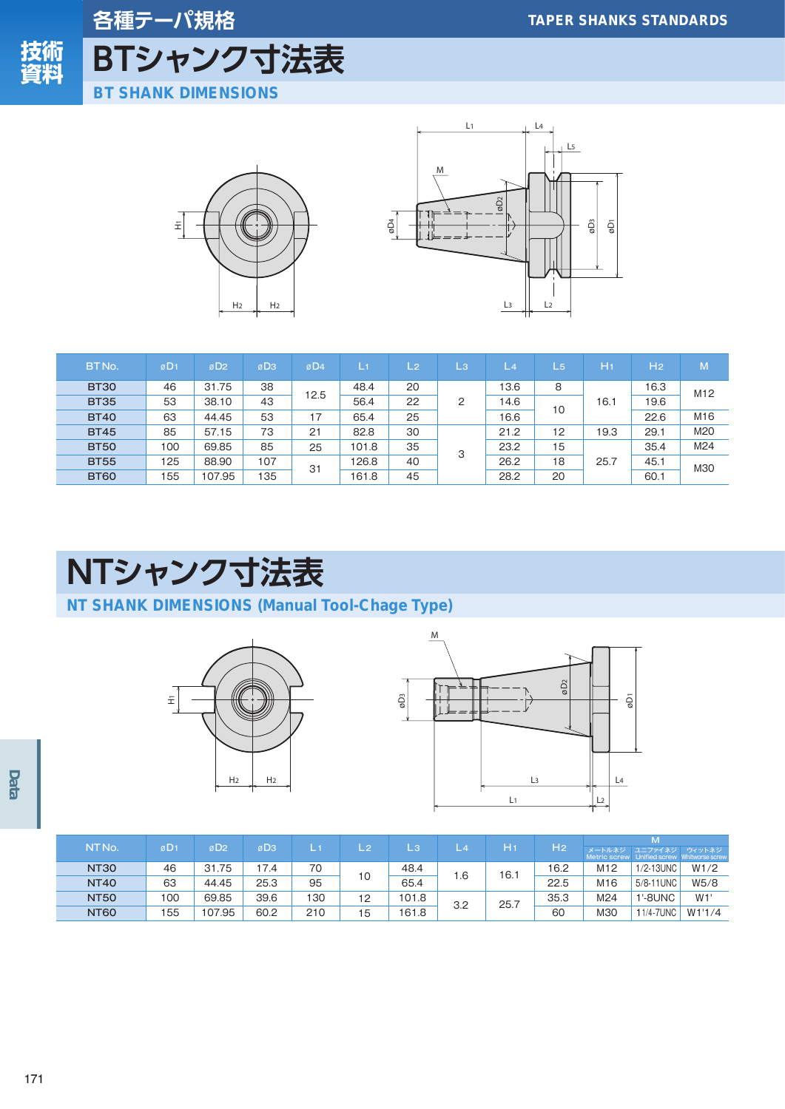

各種テーパ規格 BTシャンク寸法表 **BT SHANK DIMENSIONS** 





| BT No.      | øD <sub>1</sub> | øD <sub>2</sub> | øD <sub>3</sub> | øD4  | $\perp v$ | /L2 | /L3/           | L <sub>4</sub> | $L_{5}$ | H <sub>1</sub> | H <sub>2</sub> | M               |
|-------------|-----------------|-----------------|-----------------|------|-----------|-----|----------------|----------------|---------|----------------|----------------|-----------------|
| <b>BT30</b> | 46              | 31.75           | 38              | 12.5 | 48.4      | 20  |                | 13.6           | 8       |                | 16.3           | M <sub>12</sub> |
| <b>BT35</b> | 53              | 38.10           | 43              |      | 56.4      | 22  | $\overline{2}$ | .4.6           | 10      | 16.1           | 19.6           |                 |
| <b>BT40</b> | 63              | 44.45           | 53              | 17   | 65.4      | 25  |                | 16.6           |         |                | 22.6           | M <sub>16</sub> |
| <b>BT45</b> | 85              | 57.15           | 73              | 21   | 82.8      | 30  |                | 21.2           | 12      | 19.3           | 29.1           | M20             |
| <b>BT50</b> | 100             | 69.85           | 85              | 25   | 101.8     | 35  | 3              | 23.2           | 15      |                | 35.4           | M24             |
| <b>BT55</b> | 125             | 88.90           | 107             | 31   | 126.8     | 40  |                | 26.2           | 18      | 25.7           | 45.1           | M30             |
| <b>BT60</b> | 155             | 107.95          | 135             |      | 161.8     | 45  |                | 28.2           | 20      |                | 60.1           |                 |

# NTシャンク寸法表

### NT SHANK DIMENSIONS (Manual Tool-Chage Type)





|                   |                 |                 |                 |     |       |       |     |      |                | W                                                    |                |        |  |
|-------------------|-----------------|-----------------|-----------------|-----|-------|-------|-----|------|----------------|------------------------------------------------------|----------------|--------|--|
| NT <sub>No.</sub> | øD <sub>1</sub> | øD <sub>2</sub> | øD <sub>3</sub> | L.  | \L 2` | LЗ    |     | H1   | H <sub>2</sub> | メートルネジ<br>Metric screw Unified screw Whitworse screw | ユニファイネジ ウィットネジ |        |  |
| <b>NT30</b>       | 46              | 31.75           | 7.4             | 70  |       | 48.4  | . 6 | 16.1 | 16.2           | M <sub>12</sub>                                      | 1/2-13UNC      | W1/2   |  |
| <b>NT40</b>       | 63              | 44.45           | 25.3            | 95  | 10    | 65.4  |     |      | 22.5           | M <sub>16</sub>                                      | 5/8-11 UNC     | W5/8   |  |
| <b>NT50</b>       | 100             | 69.85           | 39.6            | 130 | 12    | 101.8 | 3.2 | 25.7 | 35.3           | M24                                                  | <b>1'-8UNC</b> | W1'    |  |
| <b>NT60</b>       | 155             | 107.95          | 60.2            | 210 | 15    | 161.8 |     |      | 60             | M30                                                  | 11/4-7UNC      | W1'1/4 |  |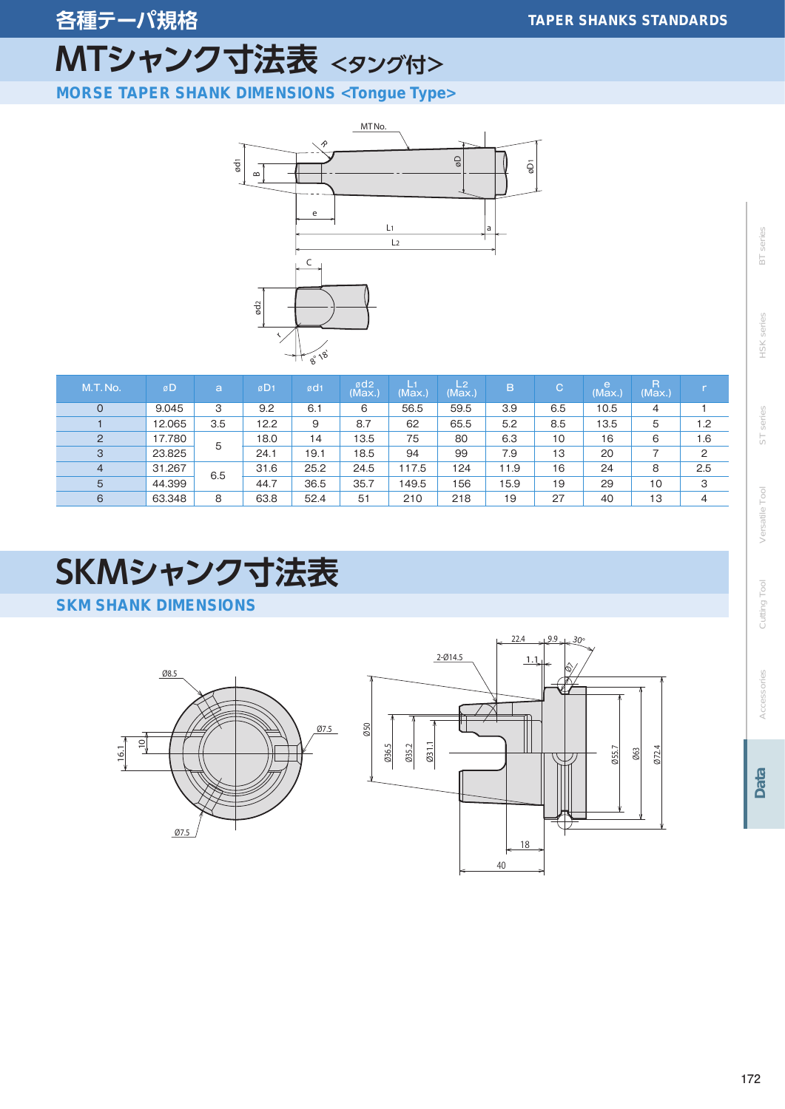# MTシャンク寸法表 <タング付>

**MORSE TAPER SHANK DIMENSIONS <Tongue Type>** 



| M.T.No.        | øD     | a   | øD <sub>1</sub> | ød1  | ød <sub>2</sub><br>(Max.) | L١<br>(Max.) | L <sub>2</sub><br>(Max.) | B    | IC. | e<br>(Max.) | R<br>(Max.) |     |
|----------------|--------|-----|-----------------|------|---------------------------|--------------|--------------------------|------|-----|-------------|-------------|-----|
|                | 9.045  | 3   | 9.2             | 6.1  | 6                         | 56.5         | 59.5                     | 3.9  | 6.5 | 10.5        | 4           |     |
|                | 12.065 | 3.5 | 12.2            | 9    | 8.7                       | 62           | 65.5                     | 5.2  | 8.5 | 13.5        | 5           | 1.2 |
| $\overline{2}$ | 17.780 | 5   | 18.0            | 14   | 13.5                      | 75           | 80                       | 6.3  | 10  | 16          | 6           | 1.6 |
| 3              | 23.825 |     | 24.1            | 19.1 | 18.5                      | 94           | 99                       | 7.9  | 13  | 20          |             | 2   |
| $\overline{4}$ | 31.267 |     | 31.6            | 25.2 | 24.5                      | 117.5        | 124                      | 11.9 | 16  | 24          | 8           | 2.5 |
| 5              | 44.399 | 6.5 | 44.7            | 36.5 | 35.7                      | 149.5        | 156                      | 15.9 | 19  | 29          | 10          | 3   |
| 6              | 63.348 | 8   | 63.8            | 52.4 | 51                        | 210          | 218                      | 19   | 27  | 40          | 13          | 4   |

## SKMシャンク寸法表

**SKM SHANK DIMENSIONS** 





**BT** series HSK series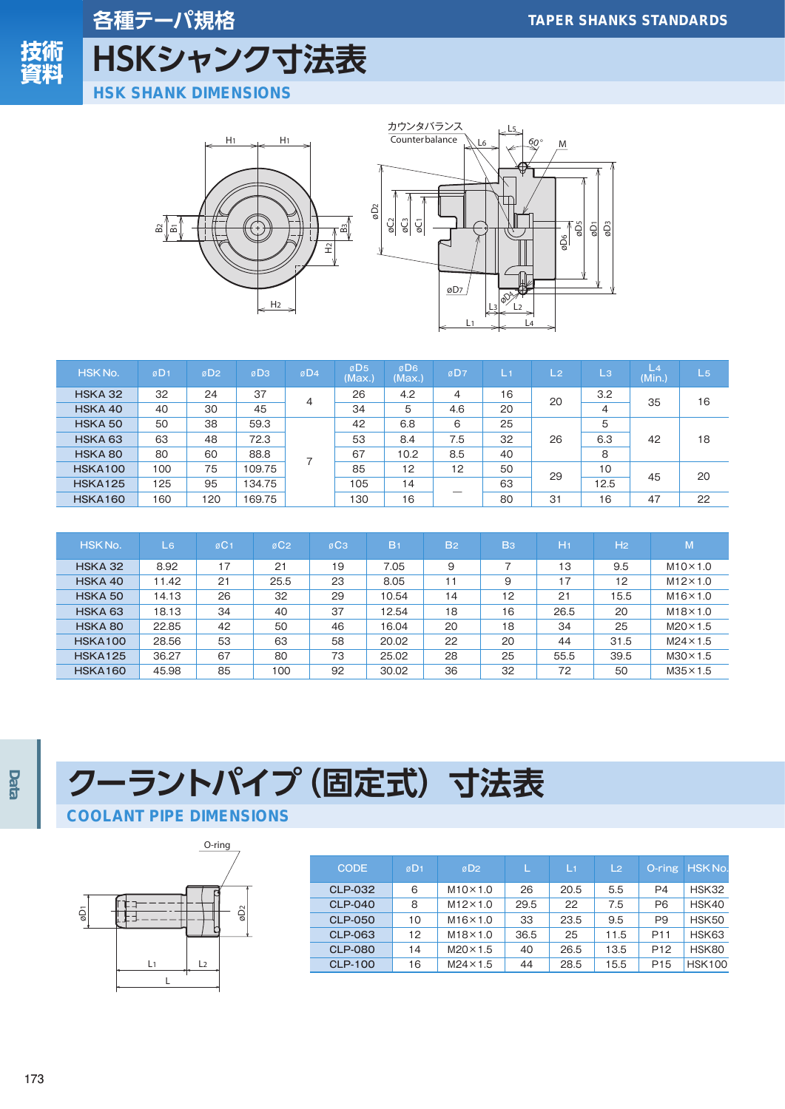

## 各種テーパ規格 HSKシャンク寸法表

**HSK SHANK DIMENSIONS** 





| HSK No.            | øD <sub>1</sub> | øD <sub>2</sub> | øD <sub>3</sub> | øD4 | øD <sub>5</sub><br>(Max.) | øD <sub>6</sub><br>(Max.) | øD7 | L1 | L <sub>2</sub> | /L3/           | L <sub>4</sub><br>(Min.) | $L_{5}$ |
|--------------------|-----------------|-----------------|-----------------|-----|---------------------------|---------------------------|-----|----|----------------|----------------|--------------------------|---------|
| HSKA 32            | 32              | 24              | 37              | 4   | 26                        | 4.2                       | 4   | 16 | 20             | 3.2            | 35                       | 16      |
| HSKA 40            | 40              | 30              | 45              |     | 34                        | 5                         | 4.6 | 20 |                | $\overline{4}$ |                          |         |
| HSKA 50            | 50              | 38              | 59.3            |     | 42                        | 6.8                       | 6   | 25 |                | 5              |                          |         |
| HSKA <sub>63</sub> | 63              | 48              | 72.3            |     | 53                        | 8.4                       | 7.5 | 32 | 26             | 6.3            | 42                       | 18      |
| HSKA 80            | 80              | 60              | 88.8            |     | 67                        | 10.2                      | 8.5 | 40 |                | 8              |                          |         |
| <b>HSKA100</b>     | 100             | 75              | 109.75          |     | 85                        | 12                        | 12  | 50 | 29             | 10             | 45                       | 20      |
| <b>HSKA125</b>     | 125             | 95              | 134.75          |     | 105                       | 14                        |     | 63 |                | 12.5           |                          |         |
| <b>HSKA160</b>     | 160             | 120             | 169.75          |     | 130                       | 16                        |     | 80 | 31             | 16             | 47                       | 22      |

| HSK No.            | L6    | $\varnothing$ C <sub>1</sub> | øC <sub>2</sub> | øC <sub>3</sub> | B <sub>1</sub> | <b>B2</b> | B <sub>3</sub> | /H1  | H <sub>2</sub> | $\mathsf{M}^{\prime}$ |
|--------------------|-------|------------------------------|-----------------|-----------------|----------------|-----------|----------------|------|----------------|-----------------------|
| HSKA 32            | 8.92  | 17                           | 21              | 19              | 7.05           | 9         |                | 13   | 9.5            | $M10\times1.0$        |
| HSKA 40            | 11.42 | 21                           | 25.5            | 23              | 8.05           | 11        | 9              | 17   | 12             | $M12\times1.0$        |
| HSKA 50            | 14.13 | 26                           | 32              | 29              | 10.54          | 14        | 12             | 21   | 15.5           | $M16\times1.0$        |
| HSKA <sub>63</sub> | 18.13 | 34                           | 40              | 37              | 12.54          | 18        | 16             | 26.5 | 20             | $M18\times1.0$        |
| HSKA 80            | 22.85 | 42                           | 50              | 46              | 16.04          | 20        | 18             | 34   | 25             | $M20 \times 1.5$      |
| <b>HSKA100</b>     | 28.56 | 53                           | 63              | 58              | 20.02          | 22        | 20             | 44   | 31.5           | $M24 \times 1.5$      |
| <b>HSKA125</b>     | 36.27 | 67                           | 80              | 73              | 25.02          | 28        | 25             | 55.5 | 39.5           | $M30 \times 1.5$      |
| <b>HSKA160</b>     | 45.98 | 85                           | 100             | 92              | 30.02          | 36        | 32             | 72   | 50             | $M35 \times 1.5$      |

# クーラントパイプ (固定式) 寸法表

#### **COOLANT PIPE DIMENSIONS**



| <b>CODE</b>    | øD <sub>1</sub> | øD <sub>2</sub>  | L    | L1   | L <sub>2</sub> | O-ring          | HSK No.       |
|----------------|-----------------|------------------|------|------|----------------|-----------------|---------------|
| <b>CLP-032</b> | 6               | $M10\times1.0$   | 26   | 20.5 | 5.5            | P4              | HSK32         |
| <b>CLP-040</b> | 8               | $M12\times1.0$   | 29.5 | 22   | 7.5            | P <sub>6</sub>  | HSK40         |
| <b>CLP-050</b> | 10              | $M16\times1.0$   | 33   | 23.5 | 9.5            | P <sub>9</sub>  | HSK50         |
| <b>CLP-063</b> | 12              | $M18\times1.0$   | 36.5 | 25   | 11.5           | P <sub>11</sub> | HSK63         |
| <b>CLP-080</b> | 14              | $M20 \times 1.5$ | 40   | 26.5 | 13.5           | P <sub>12</sub> | HSK80         |
| <b>CLP-100</b> | 16              | $M24 \times 1.5$ | 44   | 28.5 | 15.5           | P <sub>15</sub> | <b>HSK100</b> |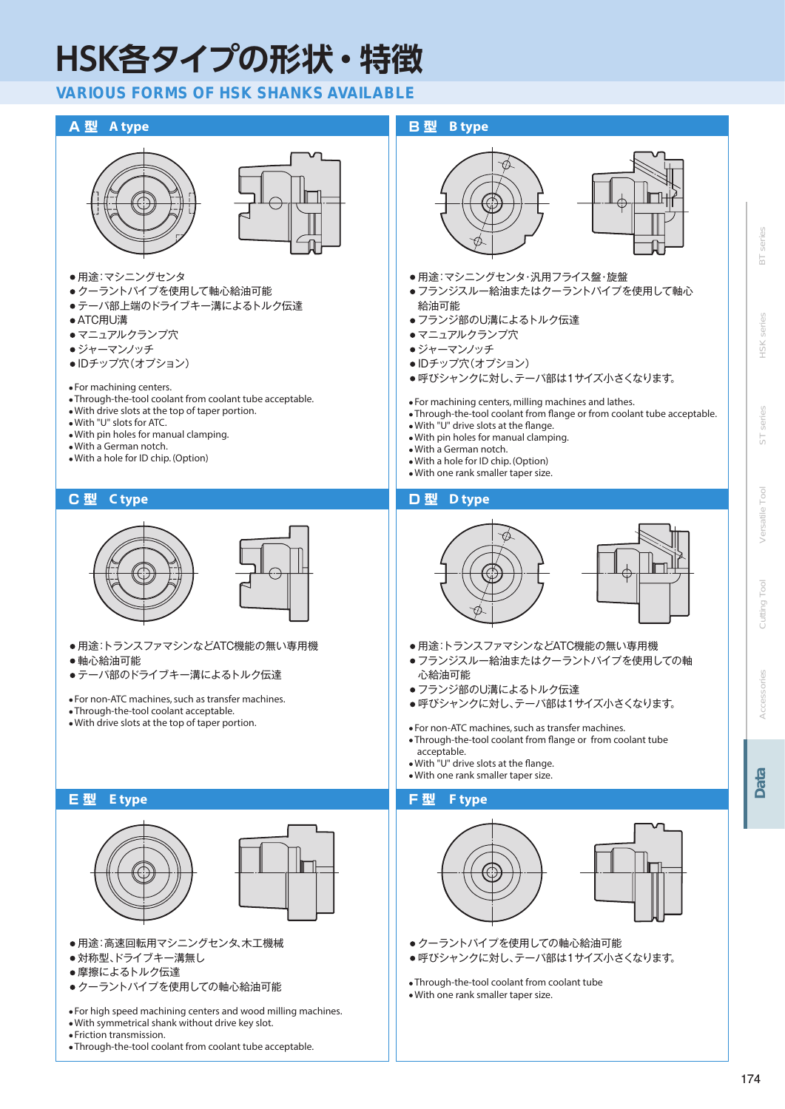# HSK各タイプの形状・特徴

#### **VARIOUS FORMS OF HSK SHANKS AVAILABLE**



능

 $+8K$ 

**Tool**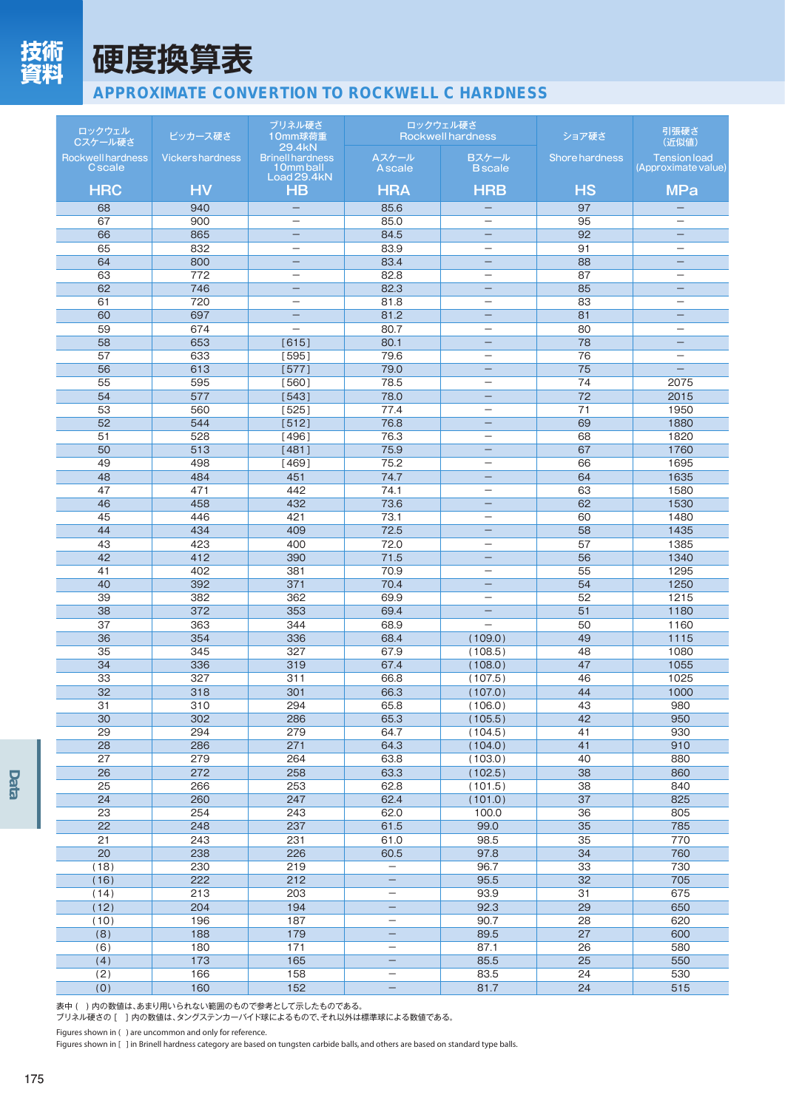

## 硬度換算表

### **APPROXIMATE CONVERTION TO ROCKWELL C HARDNESS**

| ロックウェル<br>Cスケール硬さ                          | ビッカース硬さ                 | ブリネル硬さ<br>10mm球荷重<br>29.4kN                         |                               | ロックウェル硬さ<br><b>Rockwell hardness</b>          | ショア硬さ                 | 引張硬さ<br>(近似値)                                 |
|--------------------------------------------|-------------------------|-----------------------------------------------------|-------------------------------|-----------------------------------------------|-----------------------|-----------------------------------------------|
| <b>Rockwell hardness</b><br><b>C</b> scale | <b>Vickers hardness</b> | <b>Brinell hardness</b><br>10mm ball<br>Load 29.4kN | Aスケール<br>A scale              | Bスケール<br><b>B</b> scale                       | <b>Shore hardness</b> | <b>Tension load</b><br>(Approximate value)    |
| <b>HRC</b>                                 | <b>HV</b>               | <b>HB</b>                                           | <b>HRA</b>                    | <b>HRB</b>                                    | <b>HS</b>             | <b>MPa</b>                                    |
| 68                                         | 940                     |                                                     | 85.6                          |                                               | 97                    |                                               |
| 67                                         | 900                     | $\overline{\phantom{m}}$                            | 85.0                          | $\qquad \qquad -$                             | 95                    |                                               |
| 66                                         | 865                     |                                                     | 84.5                          | -                                             | 92                    | -                                             |
| 65<br>64                                   | 832<br>800              | $\overline{\phantom{0}}$                            | 83.9<br>83.4                  | $\overbrace{\phantom{12322111}}$              | 91<br>88              |                                               |
| 63                                         | 772                     |                                                     | 82.8                          | $\qquad \qquad -$                             | 87                    |                                               |
| 62                                         | 746                     |                                                     | 82.3                          | $\qquad \qquad -$                             | 85                    | $\equiv$                                      |
| 61                                         | 720                     |                                                     | 81.8                          | $\qquad \qquad -$                             | 83                    | $\overline{\phantom{0}}$                      |
| 60                                         | 697                     | $\overline{\phantom{0}}$                            | 81.2                          | $\qquad \qquad -$                             | 81                    | $\overline{\phantom{m}}$                      |
| 59<br>58                                   | 674<br>653              |                                                     | 80.7                          | $\overline{\phantom{0}}$                      | 80<br>78              | $\overline{\phantom{0}}$                      |
| 57                                         | 633                     | [615]<br>[595]                                      | 80.1<br>79.6                  | $\qquad \qquad -$<br>$\overline{\phantom{0}}$ | 76                    | $\qquad \qquad -$<br>$\overline{\phantom{m}}$ |
| 56                                         | 613                     | [577]                                               | 79.0                          | $\qquad \qquad -$                             | 75                    | $\qquad \qquad -$                             |
| 55                                         | 595                     | [560]                                               | 78.5                          | $\overbrace{\phantom{12322111}}$              | 74                    | 2075                                          |
| 54                                         | 577                     | [543]                                               | 78.0                          | $\qquad \qquad -$                             | 72                    | 2015                                          |
| 53                                         | 560                     | [525]                                               | 77.4                          | $\qquad \qquad -$                             | 71                    | 1950                                          |
| 52                                         | 544                     | [512]                                               | 76.8                          | -                                             | 69                    | 1880                                          |
| 51                                         | 528                     | [496]                                               | 76.3                          | $\qquad \qquad -$                             | 68                    | 1820                                          |
| 50<br>49                                   | 513<br>498              | [481]<br>14691                                      | 75.9<br>75.2                  | $\qquad \qquad -$                             | 67<br>66              | 1760<br>1695                                  |
| 48                                         | 484                     | 451                                                 | 74.7                          | $\qquad \qquad -$                             | 64                    | 1635                                          |
| 47                                         | 471                     | 442                                                 | 74.1                          | $\qquad \qquad -$                             | 63                    | 1580                                          |
| 46                                         | 458                     | 432                                                 | 73.6                          | -                                             | 62                    | 1530                                          |
| 45                                         | 446                     | 421                                                 | 73.1                          |                                               | 60                    | 1480                                          |
| 44                                         | 434                     | 409                                                 | 72.5                          | $\qquad \qquad -$                             | 58                    | 1435                                          |
| 43                                         | 423                     | 400                                                 | 72.0                          |                                               | 57                    | 1385                                          |
| 42                                         | 412                     | 390                                                 | 71.5                          |                                               | 56                    | 1340<br>1295                                  |
| 41<br>40                                   | 402<br>392              | 381<br>371                                          | 70.9<br>70.4                  | $\qquad \qquad -$<br>$\qquad \qquad -$        | 55<br>54              | 1250                                          |
| 39                                         | 382                     | 362                                                 | 69.9                          | $\overline{\phantom{0}}$                      | 52                    | 1215                                          |
| 38                                         | 372                     | 353                                                 | 69.4                          | $\qquad \qquad -$                             | 51                    | 1180                                          |
| 37                                         | 363                     | 344                                                 | 68.9                          | $\overline{\phantom{0}}$                      | 50                    | 1160                                          |
| 36                                         | 354                     | 336                                                 | 68.4                          | (109.0)                                       | 49                    | 1115                                          |
| 35                                         | 345                     | 327                                                 | 67.9                          | (108.5)                                       | 48                    | 1080                                          |
| 34                                         | 336                     | 319                                                 | 67.4                          | (108.0)                                       | 47                    | 1055                                          |
| 33<br>32                                   | 327<br>318              | 311<br>301                                          | 66.8<br>66.3                  | (107.5)<br>(107.0)                            | 46<br>44              | 1025<br>1000                                  |
| 31                                         | 310                     | 294                                                 | 65.8                          | (106.0)                                       | $\overline{43}$       | 980                                           |
| 30                                         | 302                     | 286                                                 | 65.3                          | (105.5)                                       | 42                    | 950                                           |
| 29                                         | 294                     | 279                                                 | 64.7                          | (104.5)                                       | 41                    | 930                                           |
| 28                                         | 286                     | 271                                                 | 64.3                          | (104.0)                                       | 41                    | 910                                           |
| 27                                         | 279                     | 264                                                 | 63.8                          | (103.0)                                       | 40                    | 880                                           |
| 26                                         | 272                     | 258                                                 | 63.3                          | (102.5)                                       | 38                    | 860                                           |
| 25<br>24                                   | 266<br>260              | 253<br>247                                          | 62.8<br>62.4                  | (101.5)<br>(101.0)                            | 38<br>37              | 840<br>825                                    |
| 23                                         | 254                     | 243                                                 | 62.0                          | 100.0                                         | 36                    | 805                                           |
| $\overline{22}$                            | 248                     | 237                                                 | 61.5                          | 99.0                                          | 35                    | 785                                           |
| 21                                         | 243                     | 231                                                 | 61.0                          | 98.5                                          | 35                    | 770                                           |
| $\overline{20}$                            | 238                     | 226                                                 | 60.5                          | 97.8                                          | 34                    | 760                                           |
| (18)                                       | 230                     | 219                                                 | $\overline{\phantom{m}}$      | 96.7                                          | 33                    | 730                                           |
| (16)                                       | 222                     | 212                                                 | $\qquad \qquad -$             | 95.5                                          | 32                    | 705                                           |
| (14)                                       | 213                     | 203                                                 | $\overline{\phantom{0}}$      | 93.9                                          | 31                    | 675                                           |
| (12)<br>(10)                               | 204<br>196              | 194<br>187                                          | -<br>$\overline{\phantom{0}}$ | 92.3<br>90.7                                  | 29<br>28              | 650<br>620                                    |
| (8)                                        | 188                     | 179                                                 |                               | 89.5                                          | 27                    | 600                                           |
| (6)                                        | 180                     | 171                                                 | $\overline{\phantom{0}}$      | 87.1                                          | 26                    | 580                                           |
| (4)                                        | 173                     | 165                                                 |                               | 85.5                                          | 25                    | 550                                           |
| (2)                                        | 166                     | 158                                                 | —                             | 83.5                                          | 24                    | 530                                           |
| (0)                                        | 160                     | 152                                                 | -                             | 81.7                                          | 24                    | 515                                           |

表中()内の数値は、あまり用いられない範囲のもので参考として示したものである。

Figures shown in ( ) are uncommon and only for reference.<br>Figures shown in [ ] in Brinell hardness category are based on tungsten carbide balls, and others are based on standard type balls.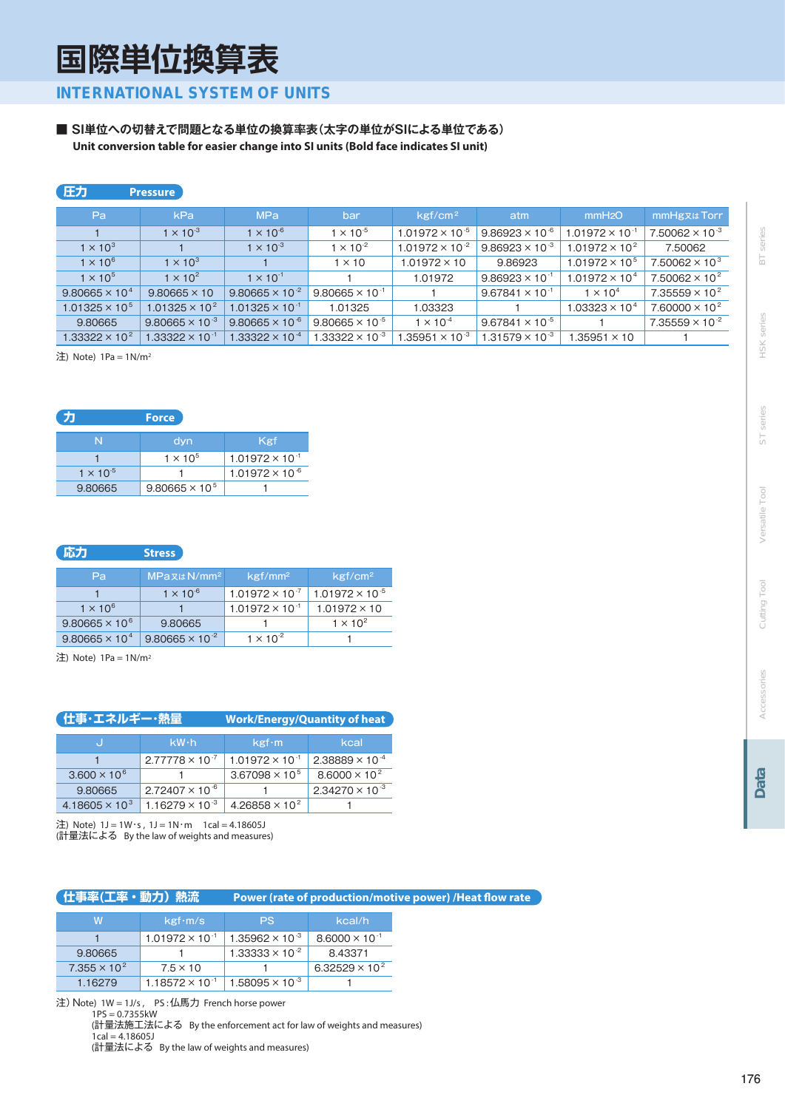国際単位換算表

**INTERNATIONAL SYSTEM OF UNITS** 

■ SI単位への切替えで問題となる単位の換算率表(太字の単位がSIによる単位である) Unit conversion table for easier change into SI units (Bold face indicates SI unit)

#### 压力 Pressure

| Pa.                              | kPa                      | <b>MPa</b>               | bar                      | kgf/cm <sup>2</sup>      | atm                      | mmH2O                    | mmHg <sub>R</sub> t Torr         |
|----------------------------------|--------------------------|--------------------------|--------------------------|--------------------------|--------------------------|--------------------------|----------------------------------|
|                                  | $1 \times 10^{-3}$       | $1 \times 10^{-6}$       | $1 \times 10^{-5}$       | $1.01972 \times 10^{-5}$ | $9.86923 \times 10^{-6}$ | $1.01972 \times 10^{-1}$ | $7.50062 \times 10^{-3}$         |
| $1 \times 10^3$                  |                          | $1 \times 10^{-3}$       | $1 \times 10^{-2}$       | $1.01972 \times 10^{-2}$ | $9.86923 \times 10^{-3}$ | $1.01972 \times 10^{2}$  | 7.50062                          |
| $1 \times 10^6$                  | $1 \times 10^3$          |                          | $1 \times 10$            | $1.01972 \times 10$      | 9.86923                  | $1.01972 \times 10^{5}$  | 7.50062 $\times$ 10 <sup>3</sup> |
| $1 \times 10^5$                  | $1 \times 10^2$          | $1 \times 10^{-1}$       |                          | 1.01972                  | $9.86923 \times 10^{-1}$ | $1.01972 \times 10^{4}$  | $7.50062 \times 10^{2}$          |
| $9.80665 \times 10^{4}$          | $9.80665 \times 10$      | $9.80665 \times 10^{-2}$ | $9.80665 \times 10^{-1}$ |                          | $9.67841 \times 10^{-1}$ | $1 \times 10^4$          | $7.35559 \times 10^{2}$          |
| $1.01325 \times 10^{5}$          | $1.01325 \times 10^{2}$  | $1.01325 \times 10^{-1}$ | 1.01325                  | 1.03323                  |                          | $1.03323 \times 10^{4}$  | $7.60000 \times 10^{2}$          |
| 9.80665                          | $9.80665 \times 10^{-3}$ | $9.80665 \times 10^{-6}$ | $9.80665 \times 10^{-5}$ | $1 \times 10^{-4}$       | $9.67841 \times 10^{-5}$ |                          | $7.35559 \times 10^{-2}$         |
| 1.33322 $\times$ 10 <sup>2</sup> | $1.33322 \times 10^{-1}$ | $1.33322 \times 10^{-4}$ | 1.33322 $\times$ 10 $^3$ | $1.35951 \times 10^{-3}$ | $1.31579 \times 10^{-3}$ | $1.35951 \times 10^{-7}$ |                                  |

注) Note) 1Pa = 1N/m<sup>2</sup>

|                    | Force                   |                          |
|--------------------|-------------------------|--------------------------|
| N                  | dyn                     | Kgf                      |
|                    | $1 \times 10^5$         | $1.01972 \times 10^{-1}$ |
| $1 \times 10^{-5}$ |                         | $1.01972 \times 10^{-6}$ |
| 9.80665            | $9.80665 \times 10^{5}$ |                          |

#### 応力 **Stress**

| Pa                      | $MPax \& N/mm^2$         | $kgf/mm^2$               | kgf/cm <sup>2</sup>      |
|-------------------------|--------------------------|--------------------------|--------------------------|
|                         | $1 \times 10^{-6}$       | $1.01972 \times 10^{-7}$ | $1.01972 \times 10^{-5}$ |
| $1 \times 10^{6}$       |                          | $1.01972 \times 10^{-1}$ | $1.01972 \times 10$      |
| $9.80665 \times 10^{6}$ | 9.80665                  |                          | $1 \times 10^2$          |
| $9.80665 \times 10^{4}$ | $9.80665 \times 10^{-2}$ | $1 \times 10^{-2}$       |                          |

注) Note) 1Pa = 1N/m<sup>2</sup>

| ( 仕事・エネルギー・熱量                    |                          | <b>Work/Energy/Quantity of heat</b> |                          |  |  |  |  |
|----------------------------------|--------------------------|-------------------------------------|--------------------------|--|--|--|--|
|                                  | $kW \cdot h$             | kgr·m                               | kcal                     |  |  |  |  |
|                                  | $2.77778 \times 10^{-7}$ | $1.01972 \times 10^{-1}$            | $2.38889 \times 10^{-4}$ |  |  |  |  |
| $3.600 \times 10^{6}$            |                          | $3.67098 \times 10^{5}$             | $8.6000 \times 10^{2}$   |  |  |  |  |
| 9.80665                          | $2.72407 \times 10^{-6}$ |                                     | $2.34270 \times 10^{-3}$ |  |  |  |  |
| 4.18605 $\times$ 10 <sup>3</sup> | $1.16279 \times 10^{-3}$ | 4.26858 $\times$ 10 <sup>2</sup>    |                          |  |  |  |  |

注) Note) 1J = 1W・s , 1J = 1N・m 1cal = 4.18605J<br>(計量法による By the law of weights and measures)

#### (仕事率(工率・動力) 熱流

Power (rate of production/motive power) /Heat flow rate

| w                     | kgr·m/s                  | /PS/                     | kcal/h                           |  |  |
|-----------------------|--------------------------|--------------------------|----------------------------------|--|--|
|                       | $1.01972 \times 10^{-1}$ | $1.35962 \times 10^{-3}$ | $8.6000 \times 10^{-1}$          |  |  |
| 9.80665               |                          | $1.33333 \times 10^{-2}$ | 8.43371                          |  |  |
| $7.355 \times 10^{2}$ | $7.5 \times 10$          |                          | 6.32529 $\times$ 10 <sup>2</sup> |  |  |
| 1.16279               | $1.18572 \times 10^{-1}$ | $1.58095 \times 10^{-3}$ |                                  |  |  |

注) Note) 1W = 1J/s, PS:仏馬力 French horse power  $1PS = 0.7355kW$ (計量法施工法による By the enforcement act for law of weights and measures)  $1$ cal = 4.18605J (計量法による By the law of weights and measures)

Tool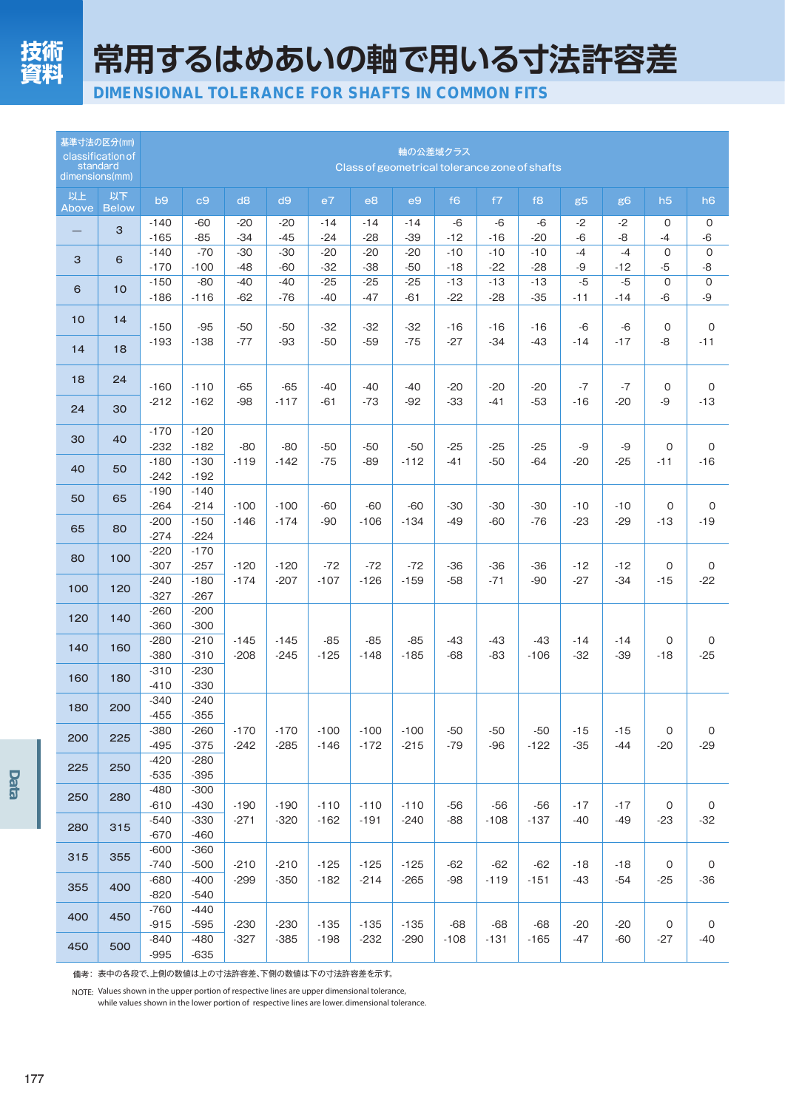常用するはめあいの軸で用いる寸法許容差

DIMENSIONAL TOLERANCE FOR SHAFTS IN COMMON FITS

| 基準寸法の区分(mm)<br>standard<br>dimensions(mm) | classification of  | 軸の公差域クラス<br>Class of geometrical tolerance zone of shafts |                            |                  |                  |                  |                  |                  |                |                |                 |                |                |                     |                              |
|-------------------------------------------|--------------------|-----------------------------------------------------------|----------------------------|------------------|------------------|------------------|------------------|------------------|----------------|----------------|-----------------|----------------|----------------|---------------------|------------------------------|
| 以上<br>Above                               | 以下<br><b>Below</b> | b9                                                        | c9                         | d8               | d9               | e7               | e8               | e9               | f <sub>6</sub> | f7             | f8              | g <sub>5</sub> | g <sub>6</sub> | h5                  | h <sub>6</sub>               |
|                                           | 3                  | $-140$<br>$-165$                                          | -60<br>$-85$               | $-20$<br>$-34$   | $-20$<br>$-45$   | -14<br>$-24$     | $-14$<br>$-28$   | $-14$<br>$-39$   | $-6$<br>$-12$  | $-6$<br>$-16$  | $-6$<br>$-20$   | -2<br>$-6$     | $-2$<br>$-8$   | 0<br>$-4$           | 0<br>-6                      |
| 3                                         | 6                  | $-140$<br>$-170$                                          | $-70$<br>$-100$            | $-30$<br>$-48$   | $-30$<br>$-60$   | $-20$<br>$-32$   | $-20$<br>$-38$   | $-20$<br>$-50$   | $-10$<br>$-18$ | $-10$<br>$-22$ | $-10$<br>$-28$  | $-4$<br>-9     | $-4$<br>$-12$  | $\mathbf 0$<br>$-5$ | 0<br>-8                      |
| 6                                         | 10 <sup>1</sup>    | $-150$<br>$-186$                                          | $-80$<br>$-116$            | $-40$<br>$-62$   | $-40$<br>$-76$   | $-25$<br>$-40$   | $-25$<br>$-47$   | $-25$<br>$-61$   | $-13$<br>$-22$ | $-13$<br>$-28$ | $-13$<br>$-35$  | $-5$<br>$-11$  | $-5$<br>$-14$  | $\mathbf 0$<br>$-6$ | 0<br>-9                      |
| 10                                        | 14                 | $-150$                                                    | $-95$                      | $-50$            | $-50$            | $-32$            | $-32$            | $-32$            | $-16$          | $-16$          | $-16$           | $-6$           | $-6$           | 0                   | 0                            |
| 14                                        | 18                 | $-193$                                                    | $-138$                     | $-77$            | $-93$            | $-50$            | $-59$            | $-75$            | $-27$          | $-34$          | $-43$           | $-14$          | $-17$          | $-8$                | $-11$                        |
| 18                                        | 24                 | $-160$                                                    | $-110$                     | $-65$            | $-65$            | $-40$            | $-40$            | $-40$            | $-20$          | $-20$          | $-20$           | $-7$           | $-7$           | 0                   | 0                            |
| 24                                        | 30                 | $-212$                                                    | $-162$                     | $-98$            | $-117$           | $-61$            | $-73$            | $-92$            | $-33$          | $-41$          | $-53$           | $-16$          | $-20$          | $-9$                | $-13$                        |
| 30                                        | 40                 | $-170$<br>$-232$                                          | $-120$<br>$-182$           | $-80$            | $-80$            | $-50$            | $-50$            | $-50$            | $-25$          | $-25$          | $-25$           | -9             | -9             | 0                   | 0                            |
| 40                                        | 50                 | $-180$<br>$-242$                                          | $-130$<br>$-192$           | $-119$           | $-142$           | $-75$            | -89              | $-112$           | $-41$          | $-50$          | $-64$           | $-20$          | $-25$          | $-11$               | $-16$                        |
| 50                                        | 65                 | $-190$<br>$-264$                                          | $-140$<br>$-214$           | $-100$           | $-100$           | $-60$            | -60              | $-60$            | -30            | $-30$          | -30             | $-10$          | $-10$          | 0                   | 0                            |
| 65                                        | 80                 | $-200$<br>$-274$                                          | $-150$<br>$-224$           | $-146$           | $-174$           | -90              | $-106$           | $-134$           | $-49$          | $-60$          | $-76$           | $-23$          | $-29$          | $-13$               | $-19$                        |
| 80                                        | 100                | $-220$<br>$-307$                                          | $-170$<br>$-257$           | $-120$           | $-120$           | $-72$            | $-72$            | $-72$            | $-36$          | $-36$          | $-36$           | $-12$          | $-12$          | 0                   | 0                            |
| 100                                       | 120                | $-240$<br>$-327$                                          | $-180$<br>$-267$           | $-174$           | $-207$           | $-107$           | $-126$           | $-159$           | $-58$          | $-71$          | -90             | $-27$          | $-34$          | $-15$               | $-22$                        |
| 120                                       | 140                | $-260$<br>$-360$                                          | $-200$<br>$-300$           |                  |                  | $-85$<br>$-125$  | $-85$<br>$-148$  |                  |                |                |                 |                |                |                     |                              |
| 140                                       | 160                | $-280$<br>$-380$                                          | $-210$<br>$-310$           | $-145$<br>$-208$ | $-145$<br>$-245$ |                  |                  | $-85$<br>$-185$  | -43<br>$-68$   | $-43$<br>-83   | -43<br>$-106$   | $-14$<br>$-32$ | $-14$<br>$-39$ | 0<br>$-18$          | 0<br>$-25$                   |
| 160                                       | 180                | $-310$<br>$-410$                                          | $-230$<br>$-330$           |                  |                  |                  |                  |                  |                |                |                 |                |                |                     |                              |
| 180                                       | 200                | $-340$<br>$-455$                                          | $-240$<br>$-355$           |                  |                  |                  |                  |                  |                |                |                 |                |                |                     |                              |
| 200                                       | 225                | $-380$<br>$-495$<br>$-420$                                | $-260$<br>$-375$<br>$-280$ | $-170$<br>$-242$ | $-170$<br>$-285$ | $-100$<br>$-146$ | $-100$<br>$-172$ | $-100$<br>$-215$ | $-50$<br>$-79$ | $-50$<br>$-96$ | $-50$<br>$-122$ | $-15$<br>$-35$ | $-15$<br>-44   | 0<br>$-20$          | $\mathsf{O}\xspace$<br>$-29$ |
| 225                                       | 250                | $-535$<br>$-480$                                          | $-395$<br>$-300$           |                  |                  |                  |                  |                  |                |                |                 |                |                |                     |                              |
| 250                                       | 280                | $-610$                                                    | $-430$                     | $-190$           | $-190$           | $-110$           | $-110$           | $-110$           | $-56$          | $-56$          | $-56$           | $-17$          | $-17$<br>$-49$ | 0                   | $\mathsf{O}\xspace$          |
| 280                                       | 315                | $-540$<br>$-670$                                          | $-330$<br>$-460$           | $-271$           | $-320$           | $-162$           | $-191$           | $-240$           | $-88$          | $-108$         | $-137$          | -40            |                | $-23$               | $-32$                        |
| 315                                       | 355                | $-600$<br>$-740$                                          | $-360$<br>$-500$           | $-210$           | $-210$           | $-125$           | $-125$           | $-125$           | $-62$          | $-62$          | $-62$           | $-18$          | $-18$          | $\mathsf O$         | $\mathsf{O}$                 |
| 355                                       | 400                | $-680$<br>$-820$                                          | $-400$<br>$-540$           | $-299$           | $-350$           | $-182$           | $-214$           | $-265$           | $-98$          | $-119$         | $-151$          | $-43$          | $-54$          | $-25$               | $-36$                        |
| 400                                       | 450                | $-760$<br>$-915$                                          | $-440$<br>$-595$           | $-230$           | $-230$           | $-135$           | $-135$           | $-135$           | $-68$          | $-68$          | $-68$           | $-20$          | $-20$          | $\mathsf O$         | $\mathsf O$                  |
| 450                                       | 500                | $-840$<br>$-995$                                          | $-480$<br>$-635$           | $-327$           | $-385$           | $-198$           | $-232$           | $-290$           | $-108$         | $-131$         | $-165$          | $-47$          | $-60$          | $-27$               | $-40$                        |

備考: 表中の各段で、上側の数値は上の寸法許容差、下側の数値は下の寸法許容差を示す。

NOTE: Values shown in the upper portion of respective lines are upper dimensional tolerance,

while values shown in the lower portion of respective lines are lower. dimensional tolerance.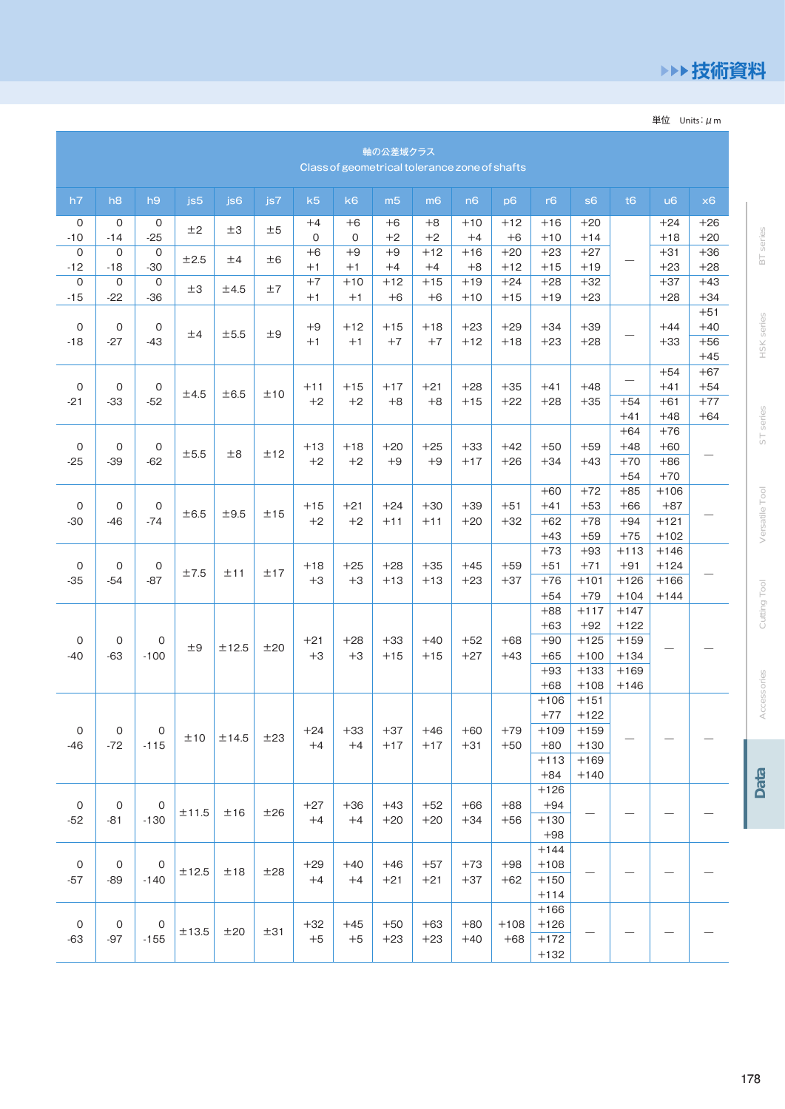### ▶▶技術資料

**BT** series

HSK series

ST series

Versatile Tool

Cutting Tool

Accessories

Data

単位 Units:  $\mu$  m

|                       | 軸の公差域クラス<br>Class of geometrical tolerance zone of shafts |                          |            |                 |     |                     |               |                |                |                |                 |                                                       |                                                          |                                                          |                                      |                                  |
|-----------------------|-----------------------------------------------------------|--------------------------|------------|-----------------|-----|---------------------|---------------|----------------|----------------|----------------|-----------------|-------------------------------------------------------|----------------------------------------------------------|----------------------------------------------------------|--------------------------------------|----------------------------------|
| h7                    | h <sub>8</sub>                                            | h9                       | js5        | js <sub>6</sub> | js7 | k5                  | k6            | m <sub>5</sub> | m <sub>6</sub> | n6             | p <sub>6</sub>  | r6                                                    | s <sub>6</sub>                                           | t6                                                       | $\mathsf{u}6$                        | x6                               |
| $\mathsf O$<br>$-10$  | 0<br>$-14$                                                | 0<br>$-25$               | ±2         | ±3              | ±5  | $+4$<br>$\mathsf O$ | $+6$<br>0     | $+6$<br>$+2$   | $+8$<br>$+2$   | $+10$<br>$+4$  | $+12$<br>$+6$   | $+16$<br>$+10$                                        | $+20$<br>$+14$                                           |                                                          | $+24$<br>$+18$                       | $+26$<br>$+20$                   |
| 0<br>$-12$            | 0<br>$-18$                                                | 0<br>$-30$               | ±2.5       | ±4              | ±6  | $+6$<br>$+1$        | $+9$<br>$+1$  | $+9$<br>$+4$   | $+12$<br>$+4$  | $+16$<br>$+8$  | $+20$<br>$+12$  | $+23$<br>$+15$                                        | $+27$<br>$+19$                                           |                                                          | $+31$<br>$+23$                       | $+36$<br>$+28$                   |
| 0<br>$-15$            | 0<br>$-22$                                                | $\mathbf 0$<br>$-36$     | ±3         | ±4.5            | ±7  | $+7$<br>$+1$        | $+10$<br>$+1$ | $+12$<br>$+6$  | $+15$<br>$+6$  | $+19$<br>$+10$ | $+24$<br>$+15$  | $+28$<br>$+19$                                        | $+32$<br>$+23$                                           |                                                          | $+37$<br>$+28$                       | $+43$<br>$+34$                   |
| 0<br>$-18$            | 0<br>-27                                                  | 0<br>$-43$               | ±4         | ±5.5            | ±9  | $+9$<br>$+1$        | $+12$<br>$+1$ | $+15$<br>$+7$  | $+18$<br>$+7$  | $+23$<br>$+12$ | $+29$<br>$+18$  | $+34$<br>$+23$                                        | $+39$<br>$+28$                                           |                                                          | $+44$<br>$+33$                       | $+51$<br>$+40$<br>$+56$<br>$+45$ |
| 0<br>$-21$            | 0<br>$-33$                                                | $\mathbf 0$<br>$-52$     | ±4.5       | ±6.5            | ±10 | $+11$<br>$+2$       | $+15$<br>$+2$ | $+17$<br>$+8$  | $+21$<br>$+8$  | $+28$<br>$+15$ | $+35$<br>$+22$  | $+41$<br>$+28$                                        | $+48$<br>$+35$                                           | $+54$<br>$+41$                                           | $+54$<br>$+41$<br>$+61$<br>$+48$     | $+67$<br>$+54$<br>$+77$<br>$+64$ |
| 0<br>$-25$            | 0<br>$-39$                                                | 0<br>$-62$               | ±5.5       | ±8              | ±12 | $+13$<br>$+2$       | $+18$<br>$+2$ | $+20$<br>$+9$  | $+25$<br>$+9$  | $+33$<br>$+17$ | $+42$<br>$+26$  | $+50$<br>$+34$                                        | $+59$<br>$+43$                                           | $+64$<br>$+48$<br>$+70$<br>$+54$                         | $+76$<br>$+60$<br>$+86$<br>$+70$     |                                  |
| 0<br>$-30$            | 0<br>-46                                                  | 0<br>$-74$               | ±6.5       | ±9.5            | ±15 | $+15$<br>$+2$       | $+21$<br>$+2$ | $+24$<br>$+11$ | $+30$<br>$+11$ | $+39$<br>$+20$ | $+51$<br>$+32$  | $+60$<br>$+41$<br>$+62$<br>$+43$                      | $+72$<br>$+53$<br>$+78$<br>$+59$                         | $+85$<br>$+66$<br>$+94$<br>$+75$                         | $+106$<br>$+87$<br>$+121$<br>$+102$  |                                  |
| 0<br>$-35$            | 0<br>$-54$                                                | 0<br>-87                 | ±7.5       | ±11             | ±17 | $+18$<br>$+3$       | $+25$<br>$+3$ | $+28$<br>$+13$ | $+35$<br>$+13$ | $+45$<br>$+23$ | $+59$<br>$+37$  | $+73$<br>$+51$<br>$+76$<br>$+54$                      | $+93$<br>$+71$<br>$+101$<br>$+79$                        | $+113$<br>$+91$<br>$+126$<br>$+104$                      | $+146$<br>$+124$<br>$+166$<br>$+144$ |                                  |
| 0<br>$-40$            | 0<br>$-63$                                                | 0<br>$-100$              | ±9         | ±12.5           | ±20 | $+21$<br>$+3$       | $+28$<br>$+3$ | $+33$<br>$+15$ | $+40$<br>$+15$ | $+52$<br>$+27$ | $+68$<br>$+43$  | $+88$<br>$+63$<br>$+90$<br>$+65$<br>$+93$<br>$+68$    | $+117$<br>$+92$<br>$+125$<br>$+100$<br>$+133$<br>$+108$  | $+147$<br>$+122$<br>$+159$<br>$+134$<br>$+169$<br>$+146$ |                                      |                                  |
| $\mathsf O$<br>$-46$  | $\mathsf{O}$<br>$-72$                                     | $\overline{0}$<br>$-115$ | ±10        | ±14.5           | ±23 | $+24$<br>$+4$       | $+33$<br>$+4$ | $+37$<br>$+17$ | $+46$<br>$+17$ | $+60$<br>$+31$ | $+79$<br>$+50$  | $+106$<br>$+77$<br>$+109$<br>$+80$<br>$+113$<br>$+84$ | $+151$<br>$+122$<br>$+159$<br>$+130$<br>$+169$<br>$+140$ |                                                          |                                      |                                  |
| $\mathsf{O}$<br>$-52$ | 0<br>$-81$                                                | $\circ$<br>$-130$        | $\pm 11.5$ | ±16             | ±26 | $+27$<br>$+4$       | $+36$<br>$+4$ | $+43$<br>$+20$ | $+52$<br>$+20$ | $+66$<br>$+34$ | $+88$<br>$+56$  | $+126$<br>$+94$<br>$+130$<br>$+98$                    |                                                          |                                                          |                                      |                                  |
| $\mathsf O$<br>$-57$  | $\mathsf{O}$<br>$-89$                                     | $\circ$<br>$-140$        | ±12.5      | ±18             | ±28 | $+29$<br>$+4$       | $+40$<br>$+4$ | $+46$<br>$+21$ | $+57$<br>$+21$ | $+73$<br>$+37$ | $+98$<br>$+62$  | $+144$<br>$+108$<br>$+150$<br>$+114$                  |                                                          |                                                          |                                      |                                  |
| $\mathsf{O}$<br>$-63$ | $\mathsf{O}$<br>$-97$                                     | 0<br>$-155$              | ±13.5      | ±20             | ±31 | $+32$<br>$+5\,$     | $+45$<br>$+5$ | $+50$<br>$+23$ | $+63$<br>$+23$ | $+80$<br>$+40$ | $+108$<br>$+68$ | $+166$<br>$+126$<br>$+172$<br>$+132$                  |                                                          |                                                          |                                      |                                  |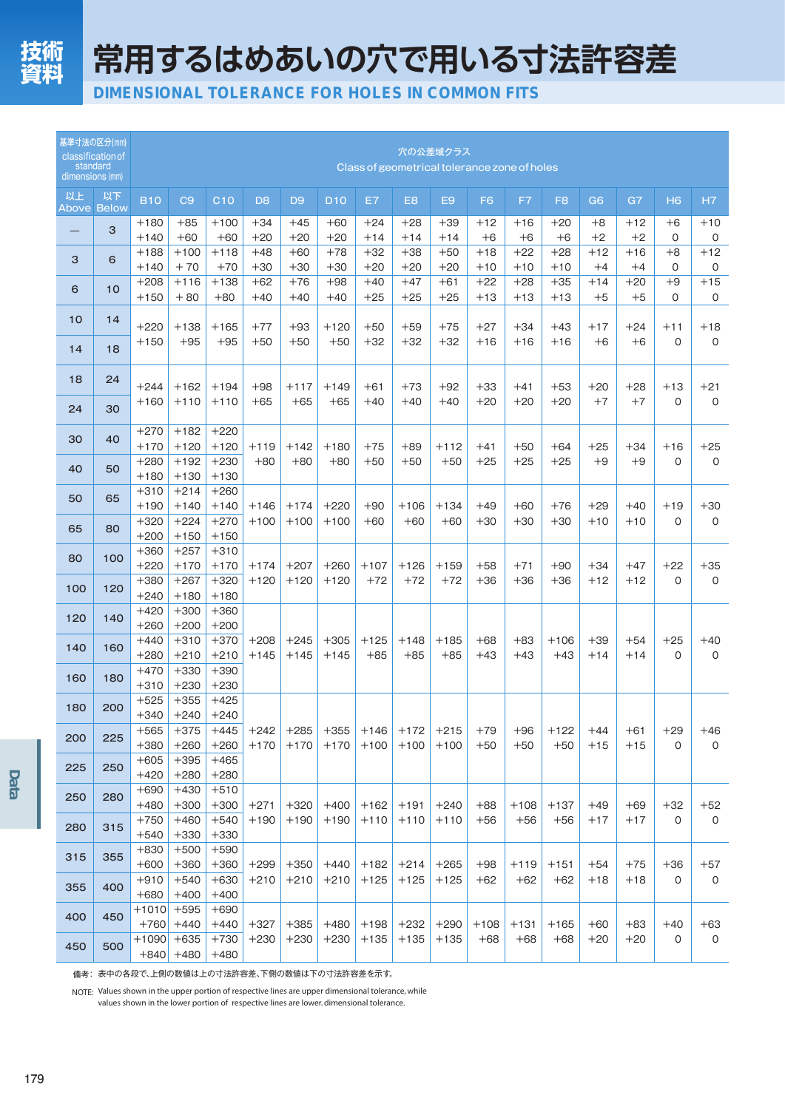常用するはめあいの穴で用いる寸法許容差

DIMENSIONAL TOLERANCE FOR HOLES IN COMMON FITS

| dimensions (mm) | 基準寸法の区分(mm)<br>classification of<br>standard | 穴の公差域クラス<br>Class of geometrical tolerance zone of holes |                  |                  |                  |                  |                  |                  |                  |                  |                |                |                 |                |                |                     |              |
|-----------------|----------------------------------------------|----------------------------------------------------------|------------------|------------------|------------------|------------------|------------------|------------------|------------------|------------------|----------------|----------------|-----------------|----------------|----------------|---------------------|--------------|
| 以上              | 以下<br><b>Above Below</b>                     | <b>B10</b>                                               | C <sub>9</sub>   | C10              | D <sub>8</sub>   | D <sub>9</sub>   | <b>D10</b>       | E7               | E <sub>8</sub>   | E <sub>9</sub>   | F <sub>6</sub> | F7             | F <sub>8</sub>  | G <sub>6</sub> | G7             | H <sub>6</sub>      | H7           |
|                 | 3                                            | $+180$<br>$+140$                                         | $+85$<br>$+60$   | $+100$<br>$+60$  | $+34$<br>$+20$   | $+45$<br>$+20$   | $+60$<br>$+20$   | $+24$<br>$+14$   | $+28$<br>$+14$   | $+39$<br>$+14$   | $+12$<br>$+6$  | $+16$<br>$+6$  | $+20$<br>$+6$   | $+8$<br>$+2$   | $+12$<br>$+2$  | $+6$<br>$\mathbf 0$ | $+10$<br>0   |
| 3               | 6                                            | $+188$<br>$+140$                                         | $+100$<br>$+70$  | $+118$<br>$+70$  | $+48$<br>$+30$   | $+60$<br>$+30$   | $+78$<br>$+30$   | $+32$<br>$+20$   | $+38$<br>$+20$   | $+50$<br>$+20$   | $+18$<br>$+10$ | $+22$<br>$+10$ | $+28$<br>$+10$  | $+12$<br>$+4$  | $+16$<br>$+4$  | $+8$<br>0           | $+12$<br>0   |
| 6               | 10                                           | $+208$<br>$+150$                                         | $+116$<br>$+80$  | $+138$<br>$+80$  | $+62$<br>$+40$   | $+76$<br>$+40$   | $+98$<br>$+40$   | $+40$<br>$+25$   | $+47$<br>$+25$   | $+61$<br>$+25$   | $+22$<br>$+13$ | $+28$<br>$+13$ | $+35$<br>$+13$  | $+14$<br>$+5$  | $+20$<br>$+5$  | $+9$<br>$\Omega$    | $+15$<br>0   |
| 10              | 14                                           | $+220$                                                   | $+138$           | $+165$           | $+77$            | $+93$            | $+120$           | $+50$            | $+59$            | $+75$            | $+27$          | $+34$          | $+43$           | $+17$          | $+24$          | $+11$               | $+18$        |
| 14              | 18                                           | $+150$                                                   | $+95$            | $+95$            | $+50$            | $+50$            | $+50$            | $+32$            | $+32$            | $+32$            | $+16$          | $+16$          | $+16$           | $+6$           | $+6$           | $\Omega$            | 0            |
| 18              | 24                                           | $+244$                                                   | $+162$           | $+194$           | $+98$            | $+117$           | $+149$           | $+61$            | $+73$            | $+92$            | $+33$          | $+41$          | $+53$           | $+20$          | $+28$          | $+13$               | $+21$        |
| 24              | 30                                           | $+160$                                                   | $+110$           | $+110$           | $+65$            | $+65$            | $+65$            | $+40$            | $+40$            | $+40$            | $+20$          | $+20$          | $+20$           | $+7$           | $+7$           | 0                   | 0            |
| 30              | 40                                           | $+270$<br>$+170$                                         | $+182$<br>$+120$ | $+220$<br>$+120$ | $+119$           | $+142$           | $+180$           | $+75$            | $+89$            | $+112$           | $+41$          | $+50$          | $+64$           | $+25$          | $+34$          | $+16$               | $+25$        |
| 40              | 50                                           | $+280$<br>$+180$                                         | $+192$<br>$+130$ | $+230$<br>$+130$ | $+80$            | $+80$            | $+80$            | $+50$            | $+50$            | $+50$            | $+25$          | $+25$          | $+25$           | $+9$           | $+9$           | $\Omega$            | 0            |
| 50              | 65                                           | $+310$<br>$+190$                                         | $+214$<br>$+140$ | $+260$<br>$+140$ | $+146$           | $+174$           | $+220$           | $+90$            | $+106$           | $+134$           | $+49$          | $+60$          | $+76$           | $+29$          | $+40$          | $+19$               | $+30$        |
| 65              | 80                                           | $+320$<br>$+200$                                         | $+224$<br>$+150$ | $+270$<br>$+150$ | $+100$           | $+100$           | $+100$           | $+60$            | $+60$            | $+60$            | $+30$          | $+30$          | $+30$           | $+10$          | $+10$          | $\Omega$            | 0            |
| 80              | 100                                          | $+360$<br>$+220$                                         | $+257$<br>$+170$ | $+310$<br>$+170$ | $+174$           | $+207$           | $+260$           | $+107$           | $+126$           | $+159$           | $+58$          | $+71$          | $+90$           | $+34$          | $+47$          | $+22$               | $+35$        |
| 100             | 120                                          | $+380$<br>$+240$                                         | $+267$<br>$+180$ | $+320$<br>$+180$ | $+120$           | $+120$           | $+120$           | $+72$            | $+72$            | $+72$            | $+36$          | $+36$          | $+36$           | $+12$          | $+12$          | $\Omega$            | $\mathsf{O}$ |
| 120             | 140                                          | $+420$<br>$+260$                                         | $+300$<br>$+200$ | $+360$<br>$+200$ |                  |                  |                  |                  |                  |                  |                |                |                 |                |                |                     |              |
| 140             | 160                                          | $+440$<br>$+280$                                         | $+310$<br>$+210$ | $+370$<br>$+210$ | $+208$<br>$+145$ | $+245$<br>$+145$ | $+305$<br>$+145$ | $+125$<br>$+85$  | $+148$<br>$+85$  | $+185$<br>$+85$  | $+68$<br>$+43$ | $+83$<br>$+43$ | $+106$<br>$+43$ | $+39$<br>$+14$ | $+54$<br>$+14$ | $+25$<br>0          | $+40$<br>0   |
| 160             | 180                                          | $+470$<br>$+310$                                         | $+330$<br>$+230$ | $+390$<br>$+230$ |                  |                  |                  |                  |                  |                  |                |                |                 |                |                |                     |              |
| 180             | 200                                          | $+525$<br>$+340$                                         | $+355$<br>$+240$ | $+425$<br>$+240$ |                  |                  |                  |                  |                  |                  |                |                |                 |                |                |                     |              |
| 200             | 225                                          | $+565$<br>$+380$                                         | $+375$<br>$+260$ | $+445$<br>$+260$ | $+242$<br>$+170$ | $+285$<br>$+170$ | $+355$<br>$+170$ | $+146$<br>$+100$ | $+172$<br>$+100$ | $+215$<br>$+100$ | $+79$<br>$+50$ | $+96$<br>$+50$ | $+122$<br>$+50$ | $+44$<br>$+15$ | $+61$<br>$+15$ | $+29$<br>0          | $+46$<br>0   |
| 225             | 250                                          | $+605$<br>$+420$                                         | $+395$<br>$+280$ | $+465$<br>$+280$ |                  |                  |                  |                  |                  |                  |                |                |                 |                |                |                     |              |
| 250             | 280                                          | $+690$<br>$+480$                                         | $+430$<br>$+300$ | $+510$<br>$+300$ | $+271$           | $+320$           | $+400$           | $+162$           | $+191$           | $+240$           | $+88$          | $+108$         | $+137$          | $+49$          | $+69$          | $+32$               | $+52$        |
| 280             | 315                                          | $+750$<br>$+540$                                         | $+460$<br>$+330$ | $+540$<br>$+330$ | $+190$           | $+190$           | $+190$           | $+110$           | $+110$           | $+110$           | $+56$          | $+56$          | $+56$           | $+17$          | $+17$          | 0                   | 0            |
| 315             | 355                                          | $+830$<br>$+600$                                         | $+500$<br>$+360$ | $+590$<br>$+360$ | $+299$           | $+350$           | $+440$           | $+182$           | $+214$           | $+265$           | $+98$          | $+119$         | $+151$          | $+54$          | $+75$          | $+36$               | $+57$        |
| 355             | 400                                          | $+910$<br>$+680$                                         | $+540$<br>$+400$ | $+630$<br>$+400$ | $+210$           | $+210$           | $+210$           | $+125$           | $+125$           | $+125$           | $+62$          | $+62$          | $+62$           | $+18$          | $+18$          | 0                   | 0            |
| 400             | 450                                          | $+1010$<br>$+760$                                        | $+595$<br>$+440$ | $+690$<br>$+440$ | $+327$           | $+385$           | $+480$           | $+198$           | $+232$           | $+290$           | $+108$         | $+131$         | $+165$          | $+60$          | $+83$          | $+40$               | $+63$        |
| 450             | 500                                          | $+1090$<br>$+840$                                        | $+635$<br>$+480$ | $+730$<br>$+480$ | $+230$           | $+230$           | $+230$           | $+135$           | $+135$           | $+135$           | $+68$          | $+68$          | $+68$           | $+20$          | $+20$          | 0                   | $\mathsf O$  |

備考: 表中の各段で、上側の数値は上の寸法許容差、下側の数値は下の寸法許容差を示す。

NOTE: Values shown in the upper portion of respective lines are upper dimensional tolerance, while values shown in the lower portion of respective lines are lower. dimensional tolerance.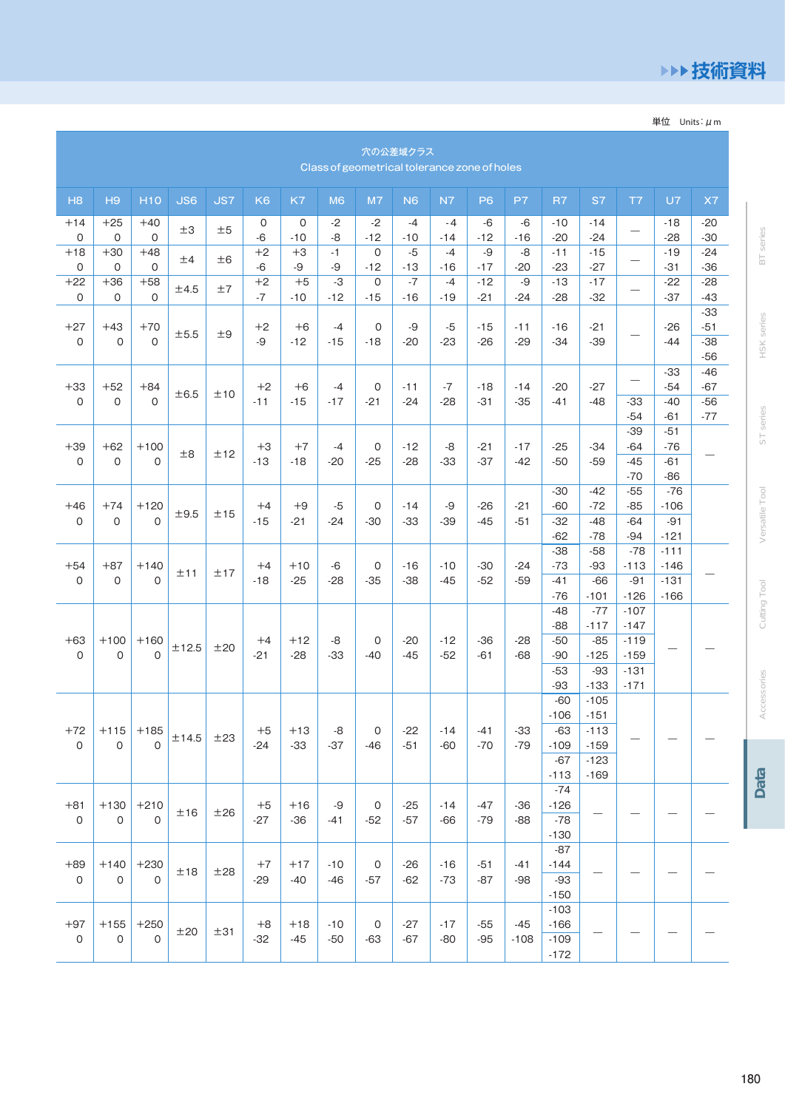### ▶▶技術資料

単位 Units:  $\mu$  m

|                       | 穴の公差域クラス<br>Class of geometrical tolerance zone of holes |                        |            |            |                |                |                |             |                |                |                |                 |                                              |                                                |                                       |                                      |                                  |
|-----------------------|----------------------------------------------------------|------------------------|------------|------------|----------------|----------------|----------------|-------------|----------------|----------------|----------------|-----------------|----------------------------------------------|------------------------------------------------|---------------------------------------|--------------------------------------|----------------------------------|
| H <sub>8</sub>        | H9                                                       | <b>H10</b>             | <b>JS6</b> | <b>JS7</b> | K <sub>6</sub> | K7             | M <sub>6</sub> | M7          | N <sub>6</sub> | N7             | P <sub>6</sub> | P7              | R7                                           | S7                                             | T7                                    | U7                                   | X7                               |
| $+14$<br>0            | $+25$<br>$\mathbf 0$                                     | $+40$<br>$\mathbf 0$   | ±3         | ±5         | 0<br>$-6$      | 0<br>$-10$     | $-2$<br>-8     | -2<br>$-12$ | $-4$<br>$-10$  | $-4$<br>$-14$  | $-6$<br>$-12$  | -6<br>$-16$     | $-10$<br>$-20$                               | $-14$<br>$-24$                                 |                                       | -18<br>$-28$                         | $-20$<br>$-30$                   |
| $+18$<br>0            | $+30$<br>0                                               | $+48$<br>0             | ±4         | ±6         | $+2$<br>-6     | $+3$<br>-9     | $-1$<br>-9     | 0<br>$-12$  | $-5$<br>$-13$  | $-4$<br>$-16$  | -9<br>$-17$    | -8<br>$-20$     | $-11$<br>$-23$                               | $-15$<br>$-27$                                 | $\qquad \qquad -$                     | $-19$<br>$-31$                       | $-24$<br>$-36$                   |
| $+22$<br>0            | $+36$<br>0                                               | $+58$<br>$\mathbf 0$   | ±4.5       | ±7         | $+2$<br>$-7$   | $+5$<br>$-10$  | -3<br>$-12$    | 0<br>$-15$  | $-7$<br>$-16$  | $-4$<br>$-19$  | $-12$<br>$-21$ | -9<br>$-24$     | $-13$<br>$-28$                               | $-17$<br>$-32$                                 |                                       | $-22$<br>$-37$                       | $-28$<br>-43                     |
| $+27$<br>0            | $+43$<br>$\mathbf 0$                                     | $+70$<br>$\mathbf 0$   | ±5.5       | ±9         | $+2$<br>-9     | $+6$<br>$-12$  | $-4$<br>$-15$  | 0<br>$-18$  | -9<br>$-20$    | -5<br>$-23$    | $-15$<br>$-26$ | $-11$<br>$-29$  | $-16$<br>$-34$                               | $-21$<br>$-39$                                 |                                       | $-26$<br>$-44$                       | $-33$<br>$-51$<br>$-38$<br>$-56$ |
| $+33$<br>0            | $+52$<br>$\mathbf 0$                                     | $+84$<br>$\Omega$      | ±6.5       | ±10        | $+2$<br>$-11$  | $+6$<br>$-15$  | $-4$<br>$-17$  | 0<br>$-21$  | $-11$<br>$-24$ | $-7$<br>$-28$  | $-18$<br>$-31$ | $-14$<br>$-35$  | $-20$<br>$-41$                               | $-27$<br>$-48$                                 | $\qquad \qquad \longleftarrow$<br>-33 | $-33$<br>$-54$<br>$-40$              | $-46$<br>$-67$<br>$-56$          |
|                       |                                                          |                        |            |            |                |                |                |             |                |                |                |                 |                                              |                                                | $-54$<br>$-39$                        | $-61$<br>$-51$                       | $-77$                            |
| $+39$<br>$\mathbf 0$  | $+62$<br>$\mathbf 0$                                     | $+100$<br>$\mathsf{O}$ | ±8         | ±12        | $+3$<br>$-13$  | $+7$<br>$-18$  | $-4$<br>$-20$  | 0<br>$-25$  | $-12$<br>$-28$ | -8<br>$-33$    | $-21$<br>$-37$ | $-17$<br>$-42$  | $-25$<br>$-50$                               | $-34$<br>$-59$                                 | $-64$<br>$-45$<br>$-70$               | $-76$<br>$-61$<br>$-86$              |                                  |
| $+46$<br>0            | $+74$<br>$\mathbf 0$                                     | $+120$<br>$\Omega$     | ±9.5       | ±15        | $+4$<br>$-15$  | $+9$<br>-21    | $-5$<br>$-24$  | 0<br>$-30$  | $-14$<br>$-33$ | -9<br>$-39$    | $-26$<br>$-45$ | $-21$<br>$-51$  | $-30$<br>$-60$<br>$-32$<br>$-62$             | $-42$<br>$-72$<br>$-48$<br>$-78$               | $-55$<br>$-85$<br>$-64$<br>$-94$      | $-76$<br>$-106$<br>$-91$<br>$-121$   |                                  |
| $+54$<br>0            | $+87$<br>0                                               | $+140$<br>$\mathbf 0$  | ±11        | ±17        | $+4$<br>$-18$  | $+10$<br>$-25$ | -6<br>$-28$    | 0<br>$-35$  | $-16$<br>$-38$ | $-10$<br>$-45$ | $-30$<br>$-52$ | $-24$<br>$-59$  | $-38$<br>$-73$<br>$-41$<br>$-76$             | $-58$<br>$-93$<br>$-66$<br>$-101$              | $-78$<br>$-113$<br>$-91$<br>$-126$    | $-111$<br>$-146$<br>$-131$<br>$-166$ |                                  |
| $+63$<br>0            | $+100$<br>$\mathbf 0$                                    | $+160$<br>$\Omega$     | ±12.5      | ±20        | $+4$<br>$-21$  | $+12$<br>$-28$ | -8<br>-33      | 0<br>$-40$  | $-20$<br>$-45$ | $-12$<br>$-52$ | $-36$<br>$-61$ | $-28$<br>$-68$  | $-48$<br>$-88$<br>$-50$<br>$-90$             | $-77$<br>$-117$<br>$-85$<br>$-125$             | $-107$<br>$-147$<br>$-119$<br>$-159$  |                                      |                                  |
|                       |                                                          |                        |            |            |                |                |                |             |                |                |                |                 | $-53$<br>$-93$<br>$-60$                      | $-93$<br>$-133$<br>$-105$                      | $-131$<br>$-171$                      |                                      |                                  |
| $+72$<br>0            | $+115$<br>$\mathsf O$                                    | $+185$<br>$\mathsf{O}$ | ±14.5      | ±23        | $+5$<br>$-24$  | +13<br>$-33$   | -8<br>$-37$    | U<br>$-46$  | -22<br>$-51$   | -14<br>-60     | -41<br>-70     | -33<br>$-79$    | $-106$<br>$-63$<br>$-109$<br>$-67$<br>$-113$ | $-151$<br>$-113$<br>$-159$<br>$-123$<br>$-169$ |                                       |                                      |                                  |
| $+81$<br>0            | $+130$<br>0                                              | $+210$<br>$\mathsf{O}$ | ±16        | ±26        | $+5$<br>$-27$  | $+16$<br>$-36$ | -9<br>-41      | 0<br>$-52$  | $-25$<br>$-57$ | $-14$<br>$-66$ | $-47$<br>-79   | $-36$<br>$-88$  | $-74$<br>$-126$<br>$-78$<br>$-130$           |                                                |                                       |                                      |                                  |
| $+89$<br>$\mathsf{O}$ | $+140$<br>$\mathsf{O}$                                   | $+230$<br>$\mathbf 0$  | ±18        | ±28        | $+7$<br>$-29$  | $+17$<br>-40   | $-10$<br>-46   | 0<br>$-57$  | $-26$<br>$-62$ | $-16$<br>$-73$ | $-51$<br>$-87$ | $-41$<br>$-98$  | $-87$<br>$-144$<br>$-93$<br>$-150$           |                                                |                                       |                                      |                                  |
| $+97$<br>$\mathsf{O}$ | $+155$<br>0                                              | $+250$<br>$\mathsf{O}$ | ±20        | ±31        | $+8$<br>$-32$  | $+18$<br>$-45$ | $-10$<br>$-50$ | 0<br>$-63$  | $-27$<br>$-67$ | $-17$<br>-80   | $-55$<br>-95   | $-45$<br>$-108$ | $-103$<br>$-166$<br>$-109$<br>$-172$         |                                                |                                       |                                      |                                  |

HSK series ST series Versatile Tool

**BT** series

Cutting Tool

Accessories

Data